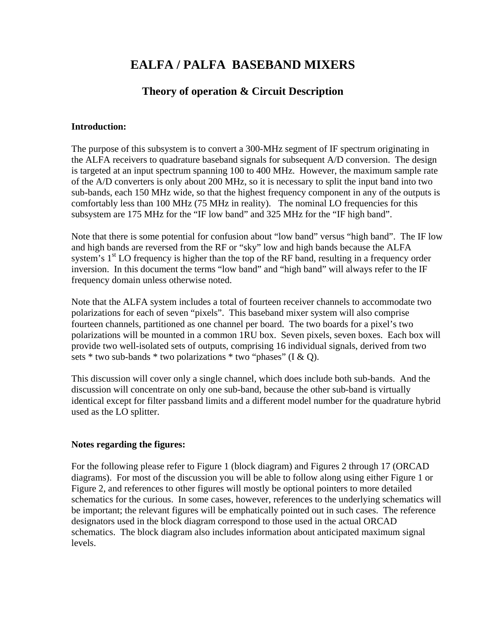# **EALFA / PALFA BASEBAND MIXERS**

## **Theory of operation & Circuit Description**

#### **Introduction:**

The purpose of this subsystem is to convert a 300-MHz segment of IF spectrum originating in the ALFA receivers to quadrature baseband signals for subsequent A/D conversion. The design is targeted at an input spectrum spanning 100 to 400 MHz. However, the maximum sample rate of the A/D converters is only about 200 MHz, so it is necessary to split the input band into two sub-bands, each 150 MHz wide, so that the highest frequency component in any of the outputs is comfortably less than 100 MHz (75 MHz in reality). The nominal LO frequencies for this subsystem are 175 MHz for the "IF low band" and 325 MHz for the "IF high band".

Note that there is some potential for confusion about "low band" versus "high band". The IF low and high bands are reversed from the RF or "sky" low and high bands because the ALFA system's  $1<sup>st</sup>$  LO frequency is higher than the top of the RF band, resulting in a frequency order inversion. In this document the terms "low band" and "high band" will always refer to the IF frequency domain unless otherwise noted.

Note that the ALFA system includes a total of fourteen receiver channels to accommodate two polarizations for each of seven "pixels". This baseband mixer system will also comprise fourteen channels, partitioned as one channel per board. The two boards for a pixel's two polarizations will be mounted in a common 1RU box. Seven pixels, seven boxes. Each box will provide two well-isolated sets of outputs, comprising 16 individual signals, derived from two sets \* two sub-bands \* two polarizations \* two "phases" (I & Q).

This discussion will cover only a single channel, which does include both sub-bands. And the discussion will concentrate on only one sub-band, because the other sub-band is virtually identical except for filter passband limits and a different model number for the quadrature hybrid used as the LO splitter.

### **Notes regarding the figures:**

For the following please refer to Figure 1 (block diagram) and Figures 2 through 17 (ORCAD diagrams). For most of the discussion you will be able to follow along using either Figure 1 or Figure 2, and references to other figures will mostly be optional pointers to more detailed schematics for the curious. In some cases, however, references to the underlying schematics will be important; the relevant figures will be emphatically pointed out in such cases. The reference designators used in the block diagram correspond to those used in the actual ORCAD schematics. The block diagram also includes information about anticipated maximum signal levels.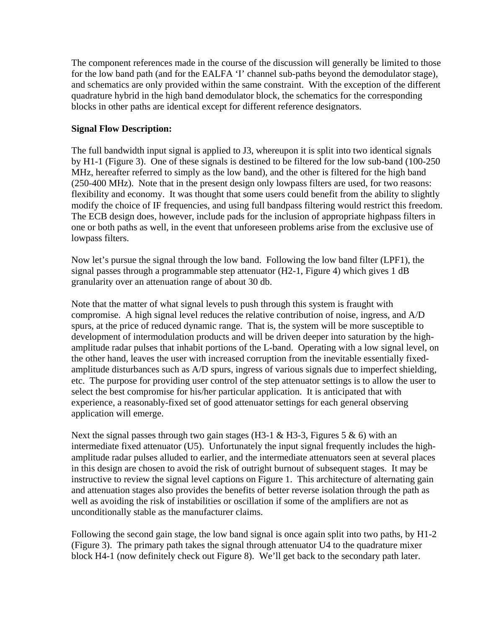The component references made in the course of the discussion will generally be limited to those for the low band path (and for the EALFA 'I' channel sub-paths beyond the demodulator stage), and schematics are only provided within the same constraint. With the exception of the different quadrature hybrid in the high band demodulator block, the schematics for the corresponding blocks in other paths are identical except for different reference designators.

#### **Signal Flow Description:**

The full bandwidth input signal is applied to J3, whereupon it is split into two identical signals by H1-1 (Figure 3). One of these signals is destined to be filtered for the low sub-band (100-250 MHz, hereafter referred to simply as the low band), and the other is filtered for the high band (250-400 MHz). Note that in the present design only lowpass filters are used, for two reasons: flexibility and economy. It was thought that some users could benefit from the ability to slightly modify the choice of IF frequencies, and using full bandpass filtering would restrict this freedom. The ECB design does, however, include pads for the inclusion of appropriate highpass filters in one or both paths as well, in the event that unforeseen problems arise from the exclusive use of lowpass filters.

Now let's pursue the signal through the low band. Following the low band filter (LPF1), the signal passes through a programmable step attenuator (H2-1, Figure 4) which gives 1 dB granularity over an attenuation range of about 30 db.

Note that the matter of what signal levels to push through this system is fraught with compromise. A high signal level reduces the relative contribution of noise, ingress, and A/D spurs, at the price of reduced dynamic range. That is, the system will be more susceptible to development of intermodulation products and will be driven deeper into saturation by the highamplitude radar pulses that inhabit portions of the L-band. Operating with a low signal level, on the other hand, leaves the user with increased corruption from the inevitable essentially fixedamplitude disturbances such as A/D spurs, ingress of various signals due to imperfect shielding, etc. The purpose for providing user control of the step attenuator settings is to allow the user to select the best compromise for his/her particular application. It is anticipated that with experience, a reasonably-fixed set of good attenuator settings for each general observing application will emerge.

Next the signal passes through two gain stages (H3-1 & H3-3, Figures 5 & 6) with an intermediate fixed attenuator (U5). Unfortunately the input signal frequently includes the highamplitude radar pulses alluded to earlier, and the intermediate attenuators seen at several places in this design are chosen to avoid the risk of outright burnout of subsequent stages. It may be instructive to review the signal level captions on Figure 1. This architecture of alternating gain and attenuation stages also provides the benefits of better reverse isolation through the path as well as avoiding the risk of instabilities or oscillation if some of the amplifiers are not as unconditionally stable as the manufacturer claims.

Following the second gain stage, the low band signal is once again split into two paths, by H1-2 (Figure 3). The primary path takes the signal through attenuator U4 to the quadrature mixer block H4-1 (now definitely check out Figure 8). We'll get back to the secondary path later.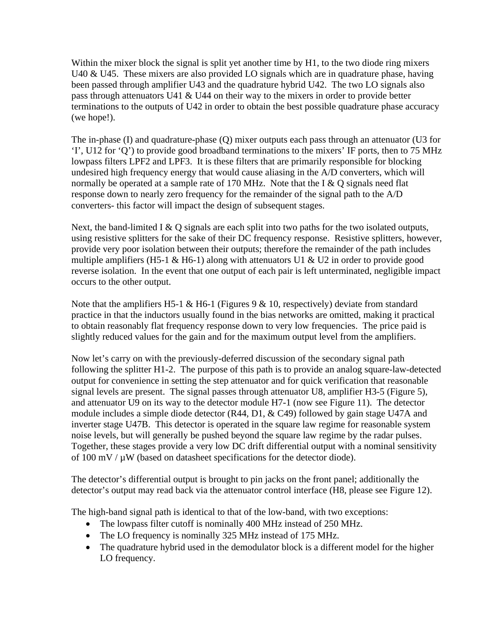Within the mixer block the signal is split yet another time by H<sub>1</sub>, to the two diode ring mixers U40 & U45. These mixers are also provided LO signals which are in quadrature phase, having been passed through amplifier U43 and the quadrature hybrid U42. The two LO signals also pass through attenuators U41 & U44 on their way to the mixers in order to provide better terminations to the outputs of U42 in order to obtain the best possible quadrature phase accuracy (we hope!).

The in-phase (I) and quadrature-phase (Q) mixer outputs each pass through an attenuator (U3 for 'I', U12 for 'Q') to provide good broadband terminations to the mixers' IF ports, then to 75 MHz lowpass filters LPF2 and LPF3. It is these filters that are primarily responsible for blocking undesired high frequency energy that would cause aliasing in the A/D converters, which will normally be operated at a sample rate of 170 MHz. Note that the I  $& Q$  signals need flat response down to nearly zero frequency for the remainder of the signal path to the A/D converters- this factor will impact the design of subsequent stages.

Next, the band-limited I & Q signals are each split into two paths for the two isolated outputs, using resistive splitters for the sake of their DC frequency response. Resistive splitters, however, provide very poor isolation between their outputs; therefore the remainder of the path includes multiple amplifiers (H5-1 & H6-1) along with attenuators U1 & U2 in order to provide good reverse isolation. In the event that one output of each pair is left unterminated, negligible impact occurs to the other output.

Note that the amplifiers H5-1 & H6-1 (Figures 9 & 10, respectively) deviate from standard practice in that the inductors usually found in the bias networks are omitted, making it practical to obtain reasonably flat frequency response down to very low frequencies. The price paid is slightly reduced values for the gain and for the maximum output level from the amplifiers.

Now let's carry on with the previously-deferred discussion of the secondary signal path following the splitter H1-2. The purpose of this path is to provide an analog square-law-detected output for convenience in setting the step attenuator and for quick verification that reasonable signal levels are present. The signal passes through attenuator U8, amplifier H3-5 (Figure 5), and attenuator U9 on its way to the detector module H7-1 (now see Figure 11). The detector module includes a simple diode detector (R44, D1, & C49) followed by gain stage U47A and inverter stage U47B. This detector is operated in the square law regime for reasonable system noise levels, but will generally be pushed beyond the square law regime by the radar pulses. Together, these stages provide a very low DC drift differential output with a nominal sensitivity of 100 mV  $/\mu$ W (based on datasheet specifications for the detector diode).

The detector's differential output is brought to pin jacks on the front panel; additionally the detector's output may read back via the attenuator control interface (H8, please see Figure 12).

The high-band signal path is identical to that of the low-band, with two exceptions:

- The lowpass filter cutoff is nominally 400 MHz instead of 250 MHz.
- The LO frequency is nominally 325 MHz instead of 175 MHz.
- The quadrature hybrid used in the demodulator block is a different model for the higher LO frequency.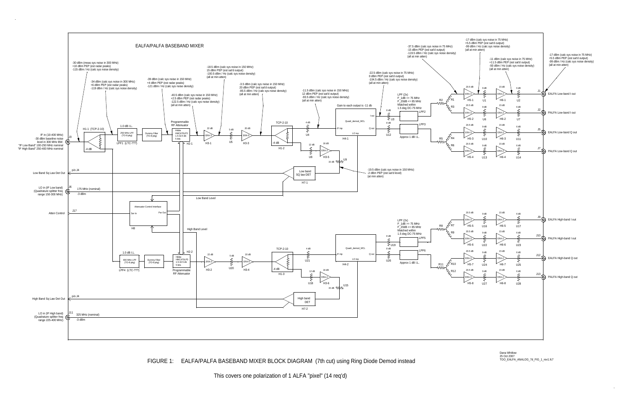

This covers one polarization of 1 ALFA "pixel" (14 req'd)

FIGURE 1: EALFA/PALFA BASEBAND MIXER BLOCK DIAGRAM (7th cut) using Ring Diode Demod instead

Dana Whitlow25 Oct 2007 TOO\_EALFA\_ANALOG\_7d\_FIG\_1\_rev1.fc7

 $\sim 10^7$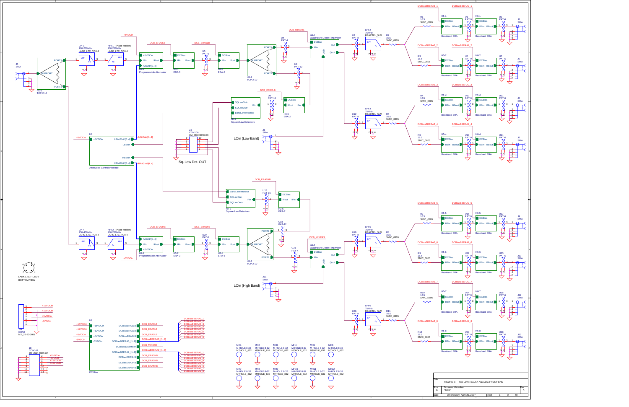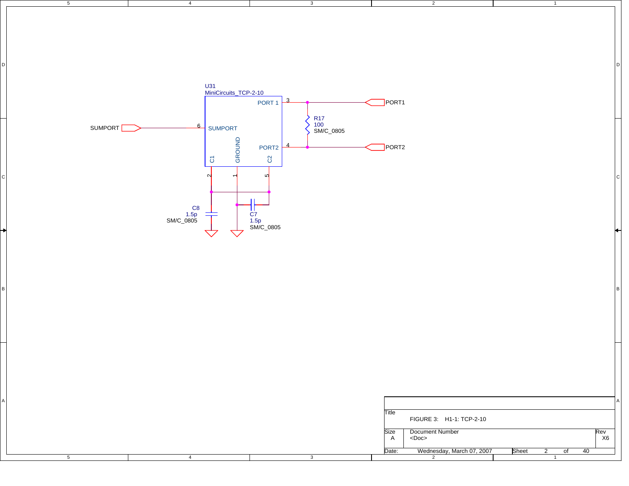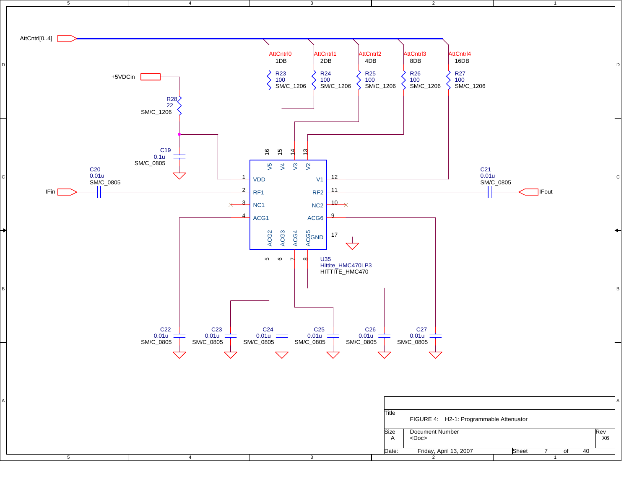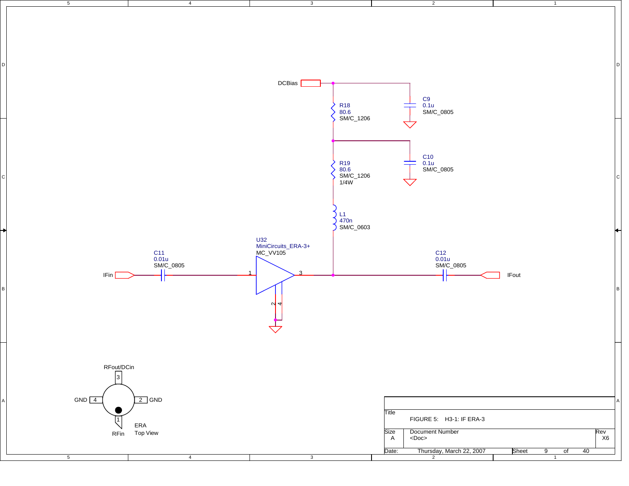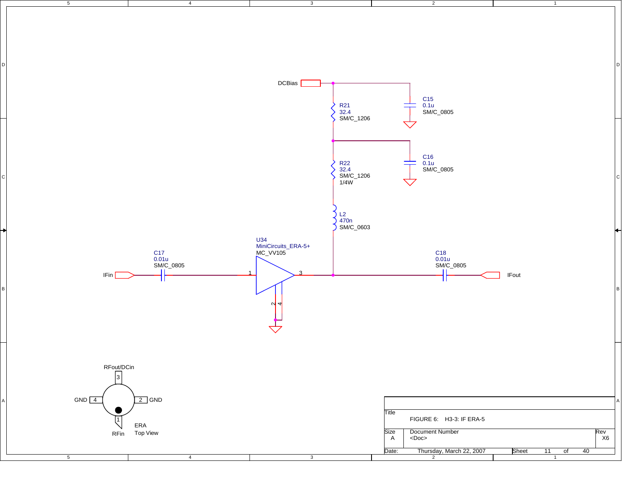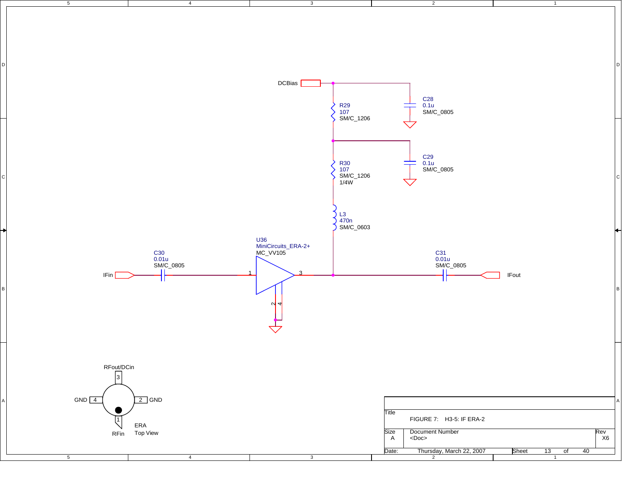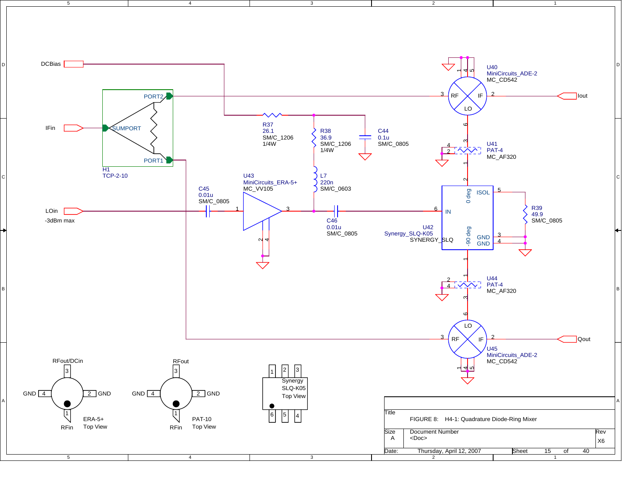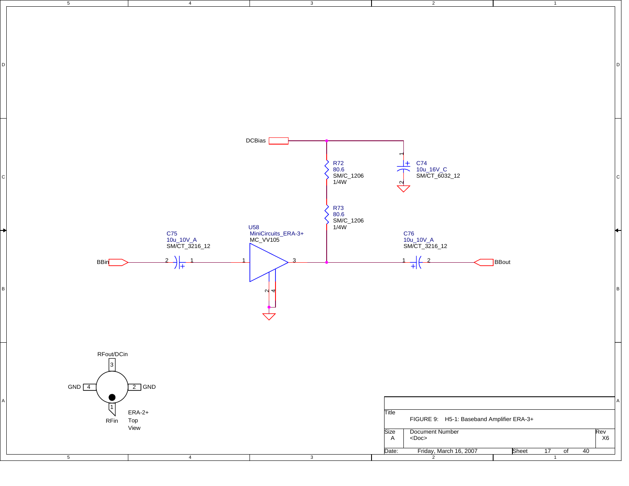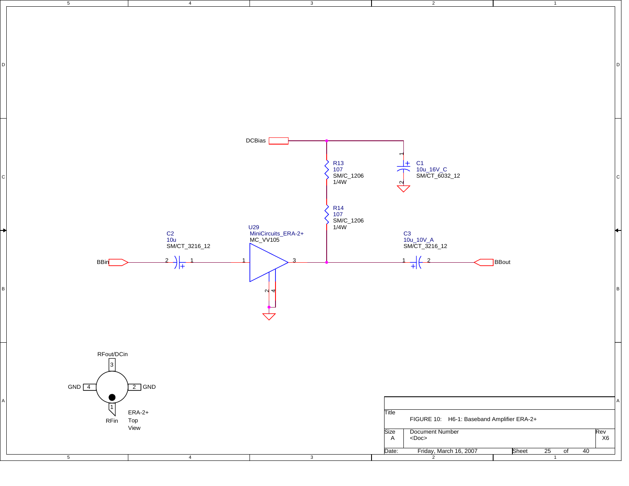![](_page_12_Figure_0.jpeg)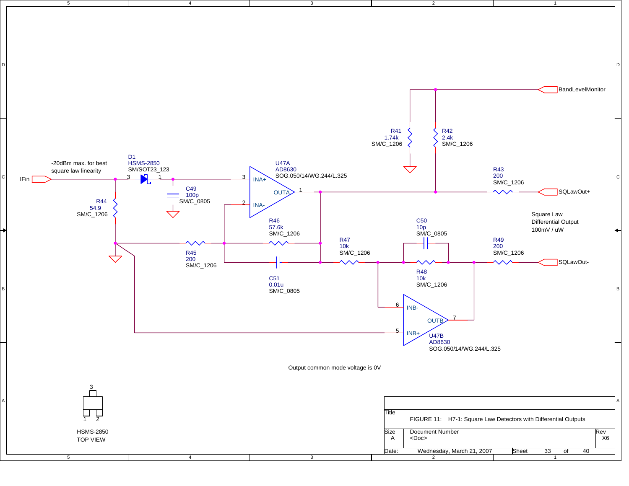![](_page_13_Figure_0.jpeg)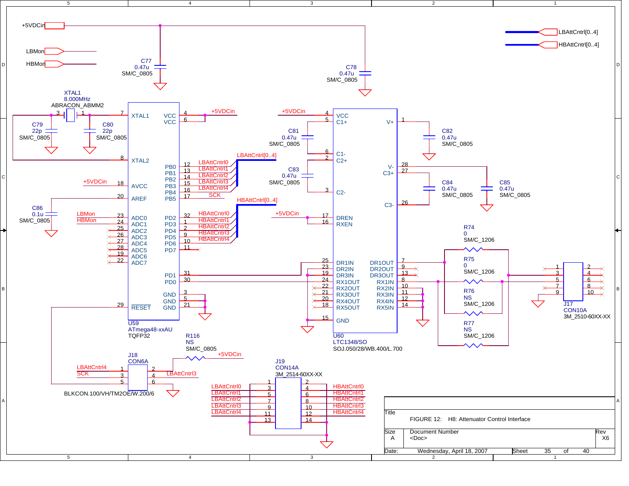![](_page_14_Figure_0.jpeg)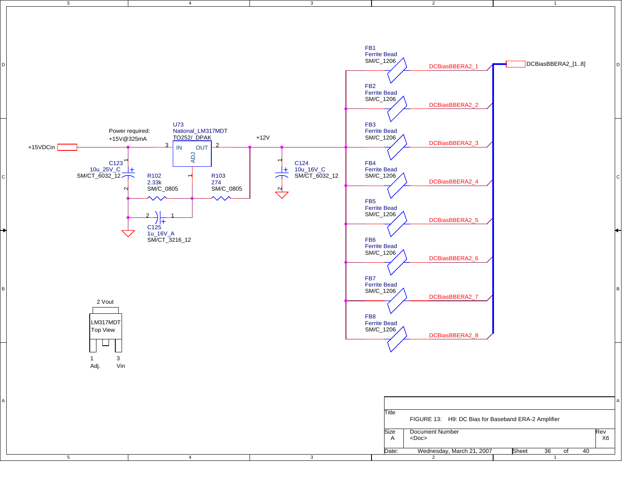![](_page_15_Figure_0.jpeg)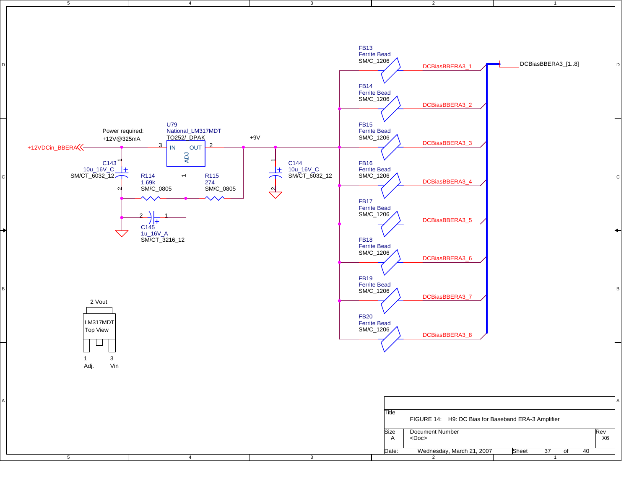![](_page_16_Figure_0.jpeg)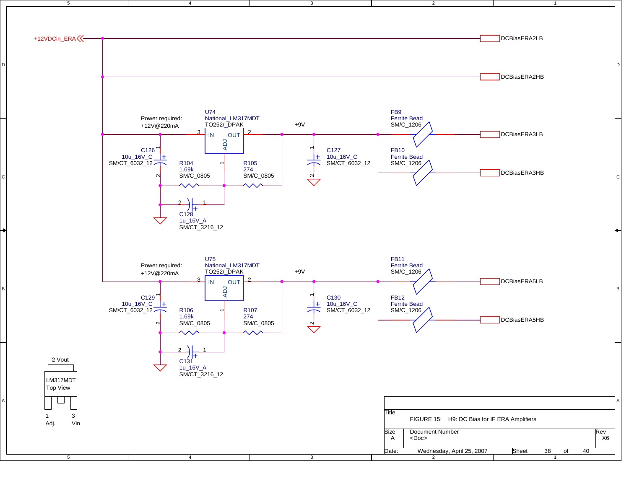![](_page_17_Figure_0.jpeg)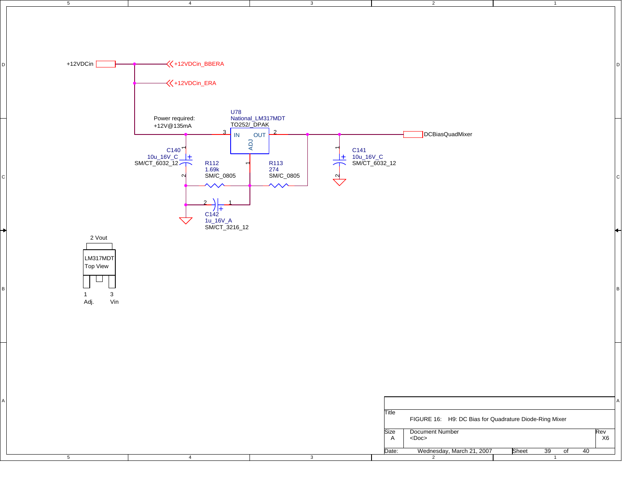![](_page_18_Figure_0.jpeg)